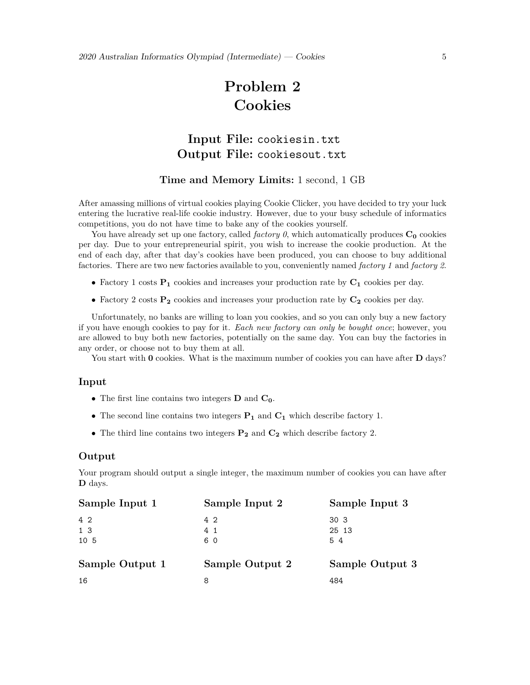# **Problem 2 Cookies**

## **Input File:** cookiesin.txt **Output File:** cookiesout.txt

### **Time and Memory Limits:** 1 second, 1 GB

After amassing millions of virtual cookies playing Cookie Clicker, you have decided to try your luck entering the lucrative real-life cookie industry. However, due to your busy schedule of informatics competitions, you do not have time to bake any of the cookies yourself.

You have already set up one factory, called *factory* 0, which automatically produces  $C_0$  cookies per day. Due to your entrepreneurial spirit, you wish to increase the cookie production. At the end of each day, after that day's cookies have been produced, you can choose to buy additional factories. There are two new factories available to you, conveniently named *factory 1* and *factory 2*.

- *•* Factory 1 costs **P<sup>1</sup>** cookies and increases your production rate by **C<sup>1</sup>** cookies per day.
- *•* Factory 2 costs **P<sup>2</sup>** cookies and increases your production rate by **C<sup>2</sup>** cookies per day.

Unfortunately, no banks are willing to loan you cookies, and so you can only buy a new factory if you have enough cookies to pay for it. *Each new factory can only be bought once*; however, you are allowed to buy both new factories, potentially on the same day. You can buy the factories in any order, or choose not to buy them at all.

You start with **0** cookies. What is the maximum number of cookies you can have after **D** days?

#### **Input**

- *•* The first line contains two integers **D** and **C0**.
- *•* The second line contains two integers **P<sup>1</sup>** and **C<sup>1</sup>** which describe factory 1.
- *•* The third line contains two integers **P<sup>2</sup>** and **C<sup>2</sup>** which describe factory 2.

#### **Output**

Your program should output a single integer, the maximum number of cookies you can have after **D** days.

| Sample Input 1  | Sample Input 2  | Sample Input 3  |
|-----------------|-----------------|-----------------|
| $4\,2$          | 4 2             | 30 <sub>3</sub> |
| 1 3             | 4 <sub>1</sub>  | 25 13           |
| 10 5            | 60              | 54              |
| Sample Output 1 | Sample Output 2 | Sample Output 3 |
| 16              | 8               | 484             |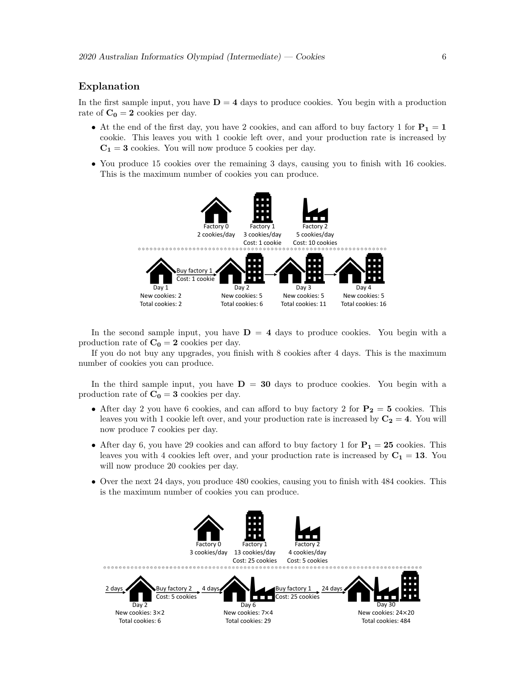#### **Explanation**

In the first sample input, you have  $D = 4$  days to produce cookies. You begin with a production rate of  $\mathbf{C_0} = \mathbf{2}$  cookies per day.

- At the end of the first day, you have 2 cookies, and can afford to buy factory 1 for  $P_1 = 1$ cookie. This leaves you with 1 cookie left over, and your production rate is increased by  $C_1 = 3$  cookies. You will now produce 5 cookies per day.
- You produce 15 cookies over the remaining 3 days, causing you to finish with 16 cookies. This is the maximum number of cookies you can produce.



In the second sample input, you have  $D = 4$  days to produce cookies. You begin with a production rate of  $C_0 = 2$  cookies per day.

If you do not buy any upgrades, you finish with 8 cookies after 4 days. This is the maximum number of cookies you can produce.

In the third sample input, you have  $D = 30$  days to produce cookies. You begin with a production rate of  $C_0 = 3$  cookies per day.

- After day 2 you have 6 cookies, and can afford to buy factory 2 for  $P_2 = 5$  cookies. This leaves you with 1 cookie left over, and your production rate is increased by  $C_2 = 4$ . You will now produce 7 cookies per day.
- After day 6, you have 29 cookies and can afford to buy factory 1 for  $P_1 = 25$  cookies. This leaves you with 4 cookies left over, and your production rate is increased by  $C_1 = 13$ . You will now produce 20 cookies per day.
- Over the next 24 days, you produce 480 cookies, causing you to finish with 484 cookies. This is the maximum number of cookies you can produce.